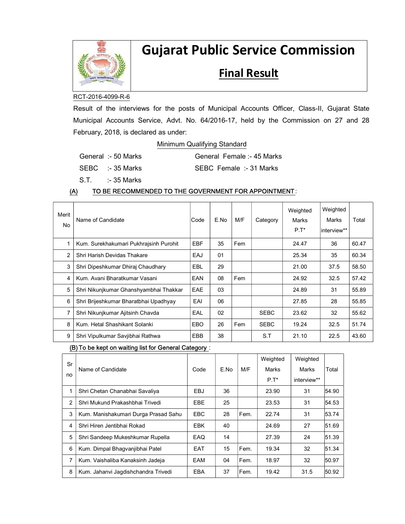

# Gujarat Public Service Commission

# **Final Result**

# RCT-2016-4099-R-6

Result of the interviews for the posts of Municipal Accounts Officer, Class-II, Gujarat State Municipal Accounts Service, Advt. No. 64/2016-17, held by the Commission on 27 and 28 February, 2018, is declared as under:

# Minimum Qualifying Standard

| General :- 50 Marks | General Female :- 45 Marks |
|---------------------|----------------------------|
|---------------------|----------------------------|

SEBC :- 35 Marks SEBC Female :- 31 Marks

S.T. :- 35 Marks

# (A) TO BE RECOMMENDED TO THE GOVERNMENT FOR APPOINTMENT:

| Merit<br>N <sub>o</sub> | Name of Candidate                      | Code       | E.No | M/F | Category    | Weighted<br>Marks<br>$P.T^*$ | Weighted<br>Marks<br>interview** | Total |
|-------------------------|----------------------------------------|------------|------|-----|-------------|------------------------------|----------------------------------|-------|
|                         | Kum. Surekhakumari Pukhrajsinh Purohit | <b>EBF</b> | 35   | Fem |             | 24.47                        | 36                               | 60.47 |
| 2                       | Shri Harish Devidas Thakare            | EAJ        | 01   |     |             | 25.34                        | 35                               | 60.34 |
| 3                       | Shri Dipeshkumar Dhiraj Chaudhary      | EBL        | 29   |     |             | 21.00                        | 37.5                             | 58.50 |
| 4                       | Kum, Avani Bharatkumar Vasani          | EAN        | 08   | Fem |             | 24.92                        | 32.5                             | 57.42 |
| 5                       | Shri Nikunjkumar Ghanshyambhai Thakkar | <b>EAE</b> | 03   |     |             | 24.89                        | 31                               | 55.89 |
| 6                       | Shri Brijeshkumar Bharatbhai Upadhyay  | EAI        | 06   |     |             | 27.85                        | 28                               | 55.85 |
| $\overline{7}$          | Shri Nikunjkumar Ajitsinh Chavda       | EAL        | 02   |     | <b>SEBC</b> | 23.62                        | 32                               | 55.62 |
| 8                       | Kum, Hetal Shashikant Solanki          | <b>EBO</b> | 26   | Fem | <b>SEBC</b> | 19.24                        | 32.5                             | 51.74 |
| 9                       | Shri Vipulkumar Savjibhai Rathwa       | <b>EBB</b> | 38   |     | S.T         | 21.10                        | 22.5                             | 43.60 |

#### (B)To be kept on waiting list for General Category :

| Sr<br>no       | Name of Candidate                    | Code       | E.No | M/F  | Weighted<br>Marks | Weighted<br>Marks | Total |
|----------------|--------------------------------------|------------|------|------|-------------------|-------------------|-------|
|                |                                      |            |      |      | $P.T^*$           | interview**       |       |
| 1              | Shri Chetan Chanabhai Savaliya       | EBJ        | 36   |      | 23.90             | 31                | 54.90 |
| $\overline{2}$ | Shri Mukund Prakashbhai Trivedi      | <b>EBE</b> | 25   |      | 23.53             | 31                | 54.53 |
| 3              | Kum. Manishakumari Durga Prasad Sahu | <b>EBC</b> | 28   | Fem. | 22.74             | 31                | 53.74 |
| 4              | Shri Hiren Jentibhai Rokad           | <b>EBK</b> | 40   |      | 24.69             | 27                | 51.69 |
| 5              | Shri Sandeep Mukeshkumar Rupella     | EAQ        | 14   |      | 27.39             | 24                | 51.39 |
| 6              | Kum. Dimpal Bhagvanjibhai Patel      | EAT        | 15   | Fem. | 19.34             | 32                | 51.34 |
| 7              | Kum. Vaishaliba Kanaksinh Jadeja     | EAM        | 04   | Fem. | 18.97             | 32                | 50.97 |
| 8              | Kum. Jahanvi Jagdishchandra Trivedi  | <b>EBA</b> | 37   | Fem. | 19.42             | 31.5              | 50.92 |